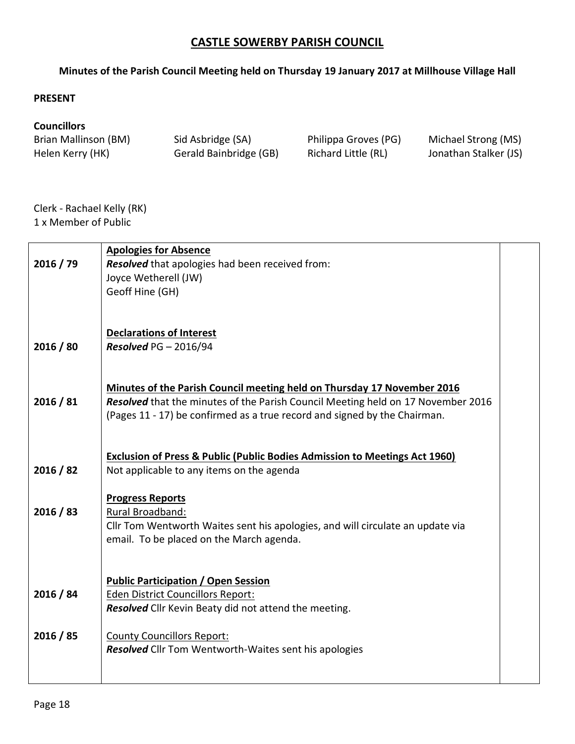## **CASTLE SOWERBY PARISH COUNCIL**

## **Minutes of the Parish Council Meeting held on Thursday 19 January 2017 at Millhouse Village Hall**

## **PRESENT**

## **Councillors**

Helen Kerry (HK) Gerald Bainbridge (GB) Richard Little (RL) Jonathan Stalker (JS)

Brian Mallinson (BM) Sid Asbridge (SA) Philippa Groves (PG) Michael Strong (MS)

Clerk - Rachael Kelly (RK) 1 x Member of Public

|           | <b>Apologies for Absence</b>                                                                                                                                  |  |
|-----------|---------------------------------------------------------------------------------------------------------------------------------------------------------------|--|
| 2016 / 79 | Resolved that apologies had been received from:<br>Joyce Wetherell (JW)                                                                                       |  |
|           | Geoff Hine (GH)                                                                                                                                               |  |
|           |                                                                                                                                                               |  |
|           |                                                                                                                                                               |  |
|           | <b>Declarations of Interest</b>                                                                                                                               |  |
| 2016 / 80 | Resolved $PG - 2016/94$                                                                                                                                       |  |
|           |                                                                                                                                                               |  |
|           |                                                                                                                                                               |  |
|           | Minutes of the Parish Council meeting held on Thursday 17 November 2016                                                                                       |  |
| 2016 / 81 | Resolved that the minutes of the Parish Council Meeting held on 17 November 2016<br>(Pages 11 - 17) be confirmed as a true record and signed by the Chairman. |  |
|           |                                                                                                                                                               |  |
|           |                                                                                                                                                               |  |
|           | <b>Exclusion of Press &amp; Public (Public Bodies Admission to Meetings Act 1960)</b>                                                                         |  |
| 2016 / 82 | Not applicable to any items on the agenda                                                                                                                     |  |
|           |                                                                                                                                                               |  |
|           | <b>Progress Reports</b>                                                                                                                                       |  |
| 2016 / 83 | Rural Broadband:                                                                                                                                              |  |
|           | Cllr Tom Wentworth Waites sent his apologies, and will circulate an update via<br>email. To be placed on the March agenda.                                    |  |
|           |                                                                                                                                                               |  |
|           |                                                                                                                                                               |  |
|           | <b>Public Participation / Open Session</b>                                                                                                                    |  |
| 2016 / 84 | <b>Eden District Councillors Report:</b>                                                                                                                      |  |
|           | Resolved Cllr Kevin Beaty did not attend the meeting.                                                                                                         |  |
|           |                                                                                                                                                               |  |
| 2016 / 85 | <b>County Councillors Report:</b><br><b>Resolved</b> Cllr Tom Wentworth-Waites sent his apologies                                                             |  |
|           |                                                                                                                                                               |  |
|           |                                                                                                                                                               |  |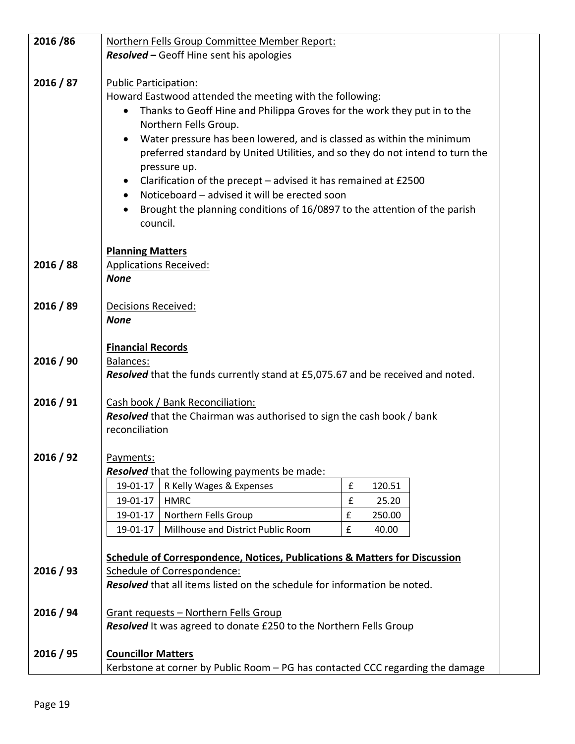| 2016/86   | Northern Fells Group Committee Member Report:                                                             |  |
|-----------|-----------------------------------------------------------------------------------------------------------|--|
|           | <b>Resolved - Geoff Hine sent his apologies</b>                                                           |  |
|           |                                                                                                           |  |
| 2016 / 87 | <b>Public Participation:</b>                                                                              |  |
|           | Howard Eastwood attended the meeting with the following:                                                  |  |
|           | Thanks to Geoff Hine and Philippa Groves for the work they put in to the<br>$\bullet$                     |  |
|           | Northern Fells Group.                                                                                     |  |
|           | Water pressure has been lowered, and is classed as within the minimum                                     |  |
|           | preferred standard by United Utilities, and so they do not intend to turn the                             |  |
|           | pressure up.                                                                                              |  |
|           | Clarification of the precept $-$ advised it has remained at £2500<br>$\bullet$                            |  |
|           | Noticeboard - advised it will be erected soon                                                             |  |
|           | Brought the planning conditions of 16/0897 to the attention of the parish<br>council.                     |  |
|           |                                                                                                           |  |
|           | <b>Planning Matters</b>                                                                                   |  |
| 2016 / 88 | <b>Applications Received:</b>                                                                             |  |
|           | <b>None</b>                                                                                               |  |
|           |                                                                                                           |  |
| 2016 / 89 | Decisions Received:                                                                                       |  |
|           | <b>None</b>                                                                                               |  |
|           |                                                                                                           |  |
|           | <b>Financial Records</b>                                                                                  |  |
| 2016 / 90 | <b>Balances:</b>                                                                                          |  |
|           | Resolved that the funds currently stand at £5,075.67 and be received and noted.                           |  |
| 2016 / 91 | Cash book / Bank Reconciliation:                                                                          |  |
|           | <b>Resolved</b> that the Chairman was authorised to sign the cash book / bank                             |  |
|           | reconciliation                                                                                            |  |
|           |                                                                                                           |  |
| 2016 / 92 | Payments:                                                                                                 |  |
|           | <b>Resolved</b> that the following payments be made:                                                      |  |
|           | R Kelly Wages & Expenses<br>£<br>19-01-17<br>120.51                                                       |  |
|           | <b>HMRC</b><br>£<br>19-01-17<br>25.20                                                                     |  |
|           | $\pmb{\mathsf{f}}$<br>19-01-17<br>Northern Fells Group<br>250.00                                          |  |
|           | Millhouse and District Public Room<br>$\pmb{\mathsf{f}}$<br>19-01-17<br>40.00                             |  |
|           |                                                                                                           |  |
| 2016 / 93 | Schedule of Correspondence, Notices, Publications & Matters for Discussion<br>Schedule of Correspondence: |  |
|           | Resolved that all items listed on the schedule for information be noted.                                  |  |
|           |                                                                                                           |  |
| 2016 / 94 | Grant requests - Northern Fells Group                                                                     |  |
|           | Resolved It was agreed to donate £250 to the Northern Fells Group                                         |  |
|           |                                                                                                           |  |
| 2016 / 95 | <b>Councillor Matters</b>                                                                                 |  |
|           | Kerbstone at corner by Public Room - PG has contacted CCC regarding the damage                            |  |